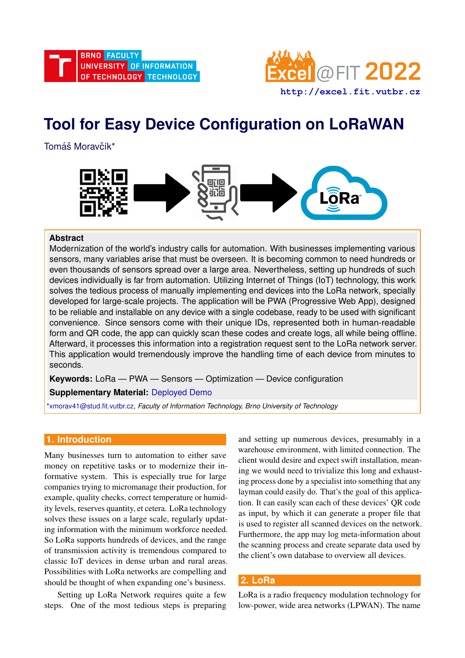

# **Tool for Easy Device Configuration on LoRaWAN**

Tomáš Moravčík\*



#### **Abstract**

Modernization of the world's industry calls for automation. With businesses implementing various sensors, many variables arise that must be overseen. It is becoming common to need hundreds or even thousands of sensors spread over a large area. Nevertheless, setting up hundreds of such devices individually is far from automation. Utilizing Internet of Things (IoT) technology, this work solves the tedious process of manually implementing end devices into the LoRa network, specially developed for large-scale projects. The application will be PWA (Progressive Web App), designed to be reliable and installable on any device with a single codebase, ready to be used with significant convenience. Since sensors come with their unique IDs, represented both in human-readable form and QR code, the app can quickly scan these codes and create logs, all while being offline. Afterward, it processes this information into a registration request sent to the LoRa network server. This application would tremendously improve the handling time of each device from minutes to seconds.

**Keywords:** LoRa — PWA — Sensors — Optimization — Device configuration

## **Supplementary Material:** [Deployed Demo](https://d2jitm0chsab24.cloudfront.net/)

[\\*xmorav41@stud.fit.vutbr.cz,](mailto:xmorav41@stud.fit.vutbr.cz) *Faculty of Information Technology, Brno University of Technology*

## **1. Introduction**

Many businesses turn to automation to either save money on repetitive tasks or to modernize their informative system. This is especially true for large companies trying to micromanage their production, for example, quality checks, correct temperature or humidity levels, reserves quantity, et cetera. LoRa technology solves these issues on a large scale, regularly updating information with the minimum workforce needed. So LoRa supports hundreds of devices, and the range of transmission activity is tremendous compared to classic IoT devices in dense urban and rural areas. Possibilities with LoRa networks are compelling and should be thought of when expanding one's business.

Setting up LoRa Network requires quite a few steps. One of the most tedious steps is preparing and setting up numerous devices, presumably in a warehouse environment, with limited connection. The client would desire and expect swift installation, meaning we would need to trivialize this long and exhausting process done by a specialist into something that any layman could easily do. That's the goal of this application. It can easily scan each of these devices' QR code as input, by which it can generate a proper file that is used to register all scanned devices on the network. Furthermore, the app may log meta-information about the scanning process and create separate data used by the client's own database to overview all devices.

## **2. LoRa**

LoRa is a radio frequency modulation technology for low-power, wide area networks (LPWAN). The name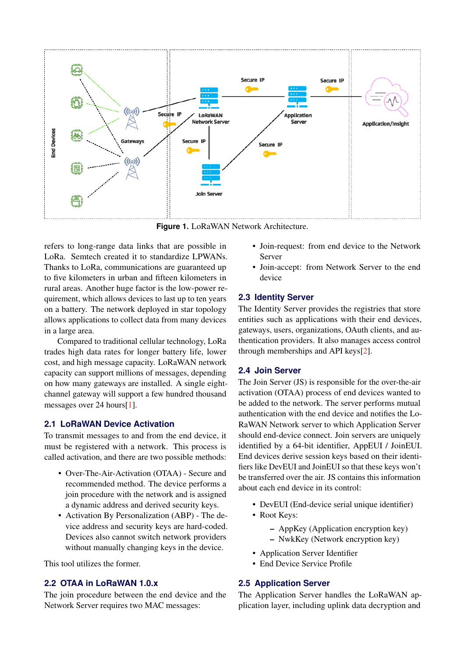

**Figure 1.** LoRaWAN Network Architecture.

refers to long-range data links that are possible in LoRa. Semtech created it to standardize LPWANs. Thanks to LoRa, communications are guaranteed up to five kilometers in urban and fifteen kilometers in rural areas. Another huge factor is the low-power requirement, which allows devices to last up to ten years on a battery. The network deployed in star topology allows applications to collect data from many devices in a large area.

Compared to traditional cellular technology, LoRa trades high data rates for longer battery life, lower cost, and high message capacity. LoRaWAN network capacity can support millions of messages, depending on how many gateways are installed. A single eightchannel gateway will support a few hundred thousand messages over 24 hours[\[1\]](#page-4-0).

#### **2.1 LoRaWAN Device Activation**

To transmit messages to and from the end device, it must be registered with a network. This process is called activation, and there are two possible methods:

- Over-The-Air-Activation (OTAA) Secure and recommended method. The device performs a join procedure with the network and is assigned a dynamic address and derived security keys.
- Activation By Personalization (ABP) The device address and security keys are hard-coded. Devices also cannot switch network providers without manually changing keys in the device.

This tool utilizes the former.

#### **2.2 OTAA in LoRaWAN 1.0.x**

The join procedure between the end device and the Network Server requires two MAC messages:

- Join-request: from end device to the Network Server
- Join-accept: from Network Server to the end device

#### **2.3 Identity Server**

The Identity Server provides the registries that store entities such as applications with their end devices, gateways, users, organizations, OAuth clients, and authentication providers. It also manages access control through memberships and API keys[\[2\]](#page-4-1).

#### **2.4 Join Server**

The Join Server (JS) is responsible for the over-the-air activation (OTAA) process of end devices wanted to be added to the network. The server performs mutual authentication with the end device and notifies the Lo-RaWAN Network server to which Application Server should end-device connect. Join servers are uniquely identified by a 64-bit identifier, AppEUI / JoinEUI. End devices derive session keys based on their identifiers like DevEUI and JoinEUI so that these keys won't be transferred over the air. JS contains this information about each end device in its control:

- DevEUI (End-device serial unique identifier)
- Root Keys:
	- AppKey (Application encryption key)
	- NwkKey (Network encryption key)
- Application Server Identifier
- End Device Service Profile

## **2.5 Application Server**

The Application Server handles the LoRaWAN application layer, including uplink data decryption and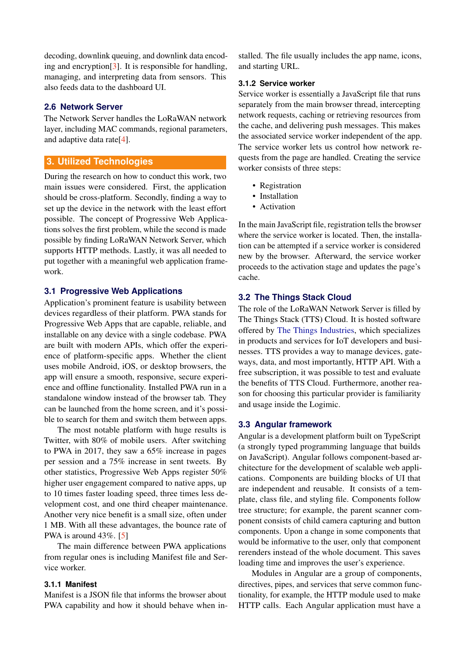decoding, downlink queuing, and downlink data encoding and encryption[\[3\]](#page-4-2). It is responsible for handling, managing, and interpreting data from sensors. This also feeds data to the dashboard UI.

#### **2.6 Network Server**

The Network Server handles the LoRaWAN network layer, including MAC commands, regional parameters, and adaptive data rate[\[4\]](#page-4-3).

## **3. Utilized Technologies**

During the research on how to conduct this work, two main issues were considered. First, the application should be cross-platform. Secondly, finding a way to set up the device in the network with the least effort possible. The concept of Progressive Web Applications solves the first problem, while the second is made possible by finding LoRaWAN Network Server, which supports HTTP methods. Lastly, it was all needed to put together with a meaningful web application framework.

#### **3.1 Progressive Web Applications**

Application's prominent feature is usability between devices regardless of their platform. PWA stands for Progressive Web Apps that are capable, reliable, and installable on any device with a single codebase. PWA are built with modern APIs, which offer the experience of platform-specific apps. Whether the client uses mobile Android, iOS, or desktop browsers, the app will ensure a smooth, responsive, secure experience and offline functionality. Installed PWA run in a standalone window instead of the browser tab. They can be launched from the home screen, and it's possible to search for them and switch them between apps.

The most notable platform with huge results is Twitter, with 80% of mobile users. After switching to PWA in 2017, they saw a 65% increase in pages per session and a 75% increase in sent tweets. By other statistics, Progressive Web Apps register 50% higher user engagement compared to native apps, up to 10 times faster loading speed, three times less development cost, and one third cheaper maintenance. Another very nice benefit is a small size, often under 1 MB. With all these advantages, the bounce rate of PWA is around 43%. [\[5\]](#page-4-4)

The main difference between PWA applications from regular ones is including Manifest file and Service worker.

#### **3.1.1 Manifest**

Manifest is a JSON file that informs the browser about PWA capability and how it should behave when installed. The file usually includes the app name, icons, and starting URL.

#### **3.1.2 Service worker**

Service worker is essentially a JavaScript file that runs separately from the main browser thread, intercepting network requests, caching or retrieving resources from the cache, and delivering push messages. This makes the associated service worker independent of the app. The service worker lets us control how network requests from the page are handled. Creating the service worker consists of three steps:

- Registration
- Installation
- Activation

In the main JavaScript file, registration tells the browser where the service worker is located. Then, the installation can be attempted if a service worker is considered new by the browser. Afterward, the service worker proceeds to the activation stage and updates the page's cache.

## **3.2 The Things Stack Cloud**

The role of the LoRaWAN Network Server is filled by The Things Stack (TTS) Cloud. It is hosted software offered by [The Things Industries,](https://www.thethingsindustries.com/) which specializes in products and services for IoT developers and businesses. TTS provides a way to manage devices, gateways, data, and most importantly, HTTP API. With a free subscription, it was possible to test and evaluate the benefits of TTS Cloud. Furthermore, another reason for choosing this particular provider is familiarity and usage inside the Logimic.

## **3.3 Angular framework**

Angular is a development platform built on TypeScript (a strongly typed programming language that builds on JavaScript). Angular follows component-based architecture for the development of scalable web applications. Components are building blocks of UI that are independent and reusable. It consists of a template, class file, and styling file. Components follow tree structure; for example, the parent scanner component consists of child camera capturing and button components. Upon a change in some components that would be informative to the user, only that component rerenders instead of the whole document. This saves loading time and improves the user's experience.

Modules in Angular are a group of components, directives, pipes, and services that serve common functionality, for example, the HTTP module used to make HTTP calls. Each Angular application must have a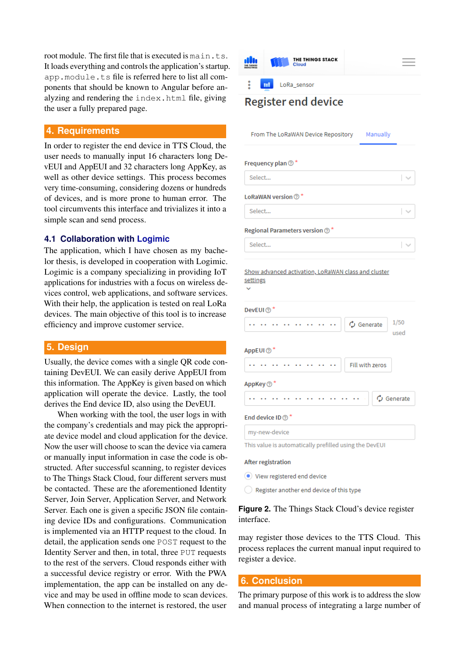root module. The first file that is executed is main.ts. It loads everything and controls the application's startup. app.module.ts file is referred here to list all components that should be known to Angular before analyzing and rendering the index.html file, giving the user a fully prepared page.

#### **4. Requirements**

In order to register the end device in TTS Cloud, the user needs to manually input 16 characters long DevEUI and AppEUI and 32 characters long AppKey, as well as other device settings. This process becomes very time-consuming, considering dozens or hundreds of devices, and is more prone to human error. The tool circumvents this interface and trivializes it into a simple scan and send process.

#### **4.1 Collaboration with [Logimic](https://www.logimic.com/)**

The application, which I have chosen as my bachelor thesis, is developed in cooperation with Logimic. Logimic is a company specializing in providing IoT applications for industries with a focus on wireless devices control, web applications, and software services. With their help, the application is tested on real LoRa devices. The main objective of this tool is to increase efficiency and improve customer service.

#### **5. Design**

Usually, the device comes with a single QR code containing DevEUI. We can easily derive AppEUI from this information. The AppKey is given based on which application will operate the device. Lastly, the tool derives the End device ID, also using the DevEUI.

When working with the tool, the user logs in with the company's credentials and may pick the appropriate device model and cloud application for the device. Now the user will choose to scan the device via camera or manually input information in case the code is obstructed. After successful scanning, to register devices to The Things Stack Cloud, four different servers must be contacted. These are the aforementioned Identity Server, Join Server, Application Server, and Network Server. Each one is given a specific JSON file containing device IDs and configurations. Communication is implemented via an HTTP request to the cloud. In detail, the application sends one POST request to the Identity Server and then, in total, three PUT requests to the rest of the servers. Cloud responds either with a successful device registry or error. With the PWA implementation, the app can be installed on any device and may be used in offline mode to scan devices. When connection to the internet is restored, the user



## **Register end device**

Manually From The LoRaWAN Device Repository

l. s

used

#### Frequency plan  $\circledcirc$  \*

Select...

LoRaWAN version  $\oslash$  \*

Select...

Regional Parameters version  $\circledcirc$  \*

Select...

Show advanced activation, LoRaWAN class and cluster settings

DevEUI 2

 $1/50$ **.......**  $\ddot{\phantom{1}}$  .  $\ddot{\phantom{a}}$  $\sigma$  Generate

#### AppEUI <sup>o</sup>



#### **AppKev ⑦**



#### End device ID  $\odot$ <sup>3</sup>

my-new-device

This value is automatically prefilled using the DevEUI

#### After registration

- lacktriangle View registered end device
- $\bigcirc$  Register another end device of this type

#### **Figure 2.** The Things Stack Cloud's device register interface.

may register those devices to the TTS Cloud. This process replaces the current manual input required to register a device.

#### **6. Conclusion**

The primary purpose of this work is to address the slow and manual process of integrating a large number of